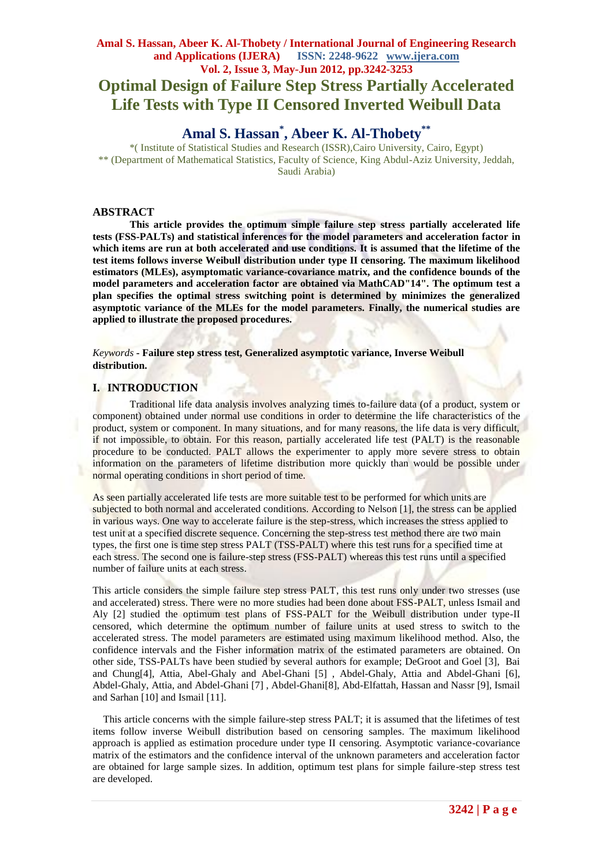# **Amal S. Hassan, Abeer K. Al-Thobety / International Journal of Engineering Research and Applications (IJERA) ISSN: 2248-9622 www.ijera.com Vol. 2, Issue 3, May-Jun 2012, pp.3242-3253 Optimal Design of Failure Step Stress Partially Accelerated Life Tests with Type II Censored Inverted Weibull Data**

# **Amal S. Hassan\* , Abeer K. Al-Thobety\*\***

\*( Institute of Statistical Studies and Research (ISSR),Cairo University, Cairo, Egypt) \*\* (Department of Mathematical Statistics, Faculty of Science, King Abdul-Aziz University, Jeddah, Saudi Arabia)

## **ABSTRACT**

**This article provides the optimum simple failure step stress partially accelerated life tests (FSS-PALTs) and statistical inferences for the model parameters and acceleration factor in which items are run at both accelerated and use conditions. It is assumed that the lifetime of the test items follows inverse Weibull distribution under type II censoring. The maximum likelihood estimators (MLEs), asymptomatic variance-covariance matrix, and the confidence bounds of the model parameters and acceleration factor are obtained via MathCAD"14". The optimum test a plan specifies the optimal stress switching point is determined by minimizes the generalized asymptotic variance of the MLEs for the model parameters. Finally, the numerical studies are applied to illustrate the proposed procedures.**

*Keywords* **- Failure step stress test, Generalized asymptotic variance, Inverse Weibull distribution.**

## **I. INTRODUCTION**

Traditional life data analysis involves analyzing times to-failure data (of a product, system or component) obtained under normal use conditions in order to determine the life characteristics of the product, system or component. In many situations, and for many reasons, the life data is very difficult, if not impossible, to obtain. For this reason, partially accelerated life test (PALT) is the reasonable procedure to be conducted. PALT allows the experimenter to apply more severe stress to obtain information on the parameters of lifetime distribution more quickly than would be possible under normal operating conditions in short period of time.

As seen partially accelerated life tests are more suitable test to be performed for which units are subjected to both normal and accelerated conditions. According to Nelson [1], the stress can be applied in various ways. One way to accelerate failure is the step-stress, which increases the stress applied to test unit at a specified discrete sequence. Concerning the step-stress test method there are two main types, the first one is time step stress PALT (TSS-PALT) where this test runs for a specified time at each stress. The second one is failure-step stress (FSS-PALT) whereas this test runs until a specified number of failure units at each stress.

This article considers the simple failure step stress PALT, this test runs only under two stresses (use and accelerated) stress. There were no more studies had been done about FSS-PALT, unless Ismail and Aly [2] studied the optimum test plans of FSS-PALT for the Weibull distribution under type-II censored, which determine the optimum number of failure units at used stress to switch to the accelerated stress. The model parameters are estimated using maximum likelihood method. Also, the confidence intervals and the Fisher information matrix of the estimated parameters are obtained. On other side, TSS-PALTs have been studied by several authors for example; DeGroot and Goel [3], Bai and Chung[4], Attia, Abel-Ghaly and Abel-Ghani [5] , Abdel-Ghaly, Attia and Abdel-Ghani [6], Abdel-Ghaly, Attia, and Abdel-Ghani [7] , Abdel-Ghani[8], Abd-Elfattah, Hassan and Nassr [9], Ismail and Sarhan [10] and Ismail [11].

This article concerns with the simple failure-step stress PALT; it is assumed that the lifetimes of test items follow inverse Weibull distribution based on censoring samples. The maximum likelihood approach is applied as estimation procedure under type II censoring. Asymptotic variance-covariance matrix of the estimators and the confidence interval of the unknown parameters and acceleration factor are obtained for large sample sizes. In addition, optimum test plans for simple failure-step stress test are developed.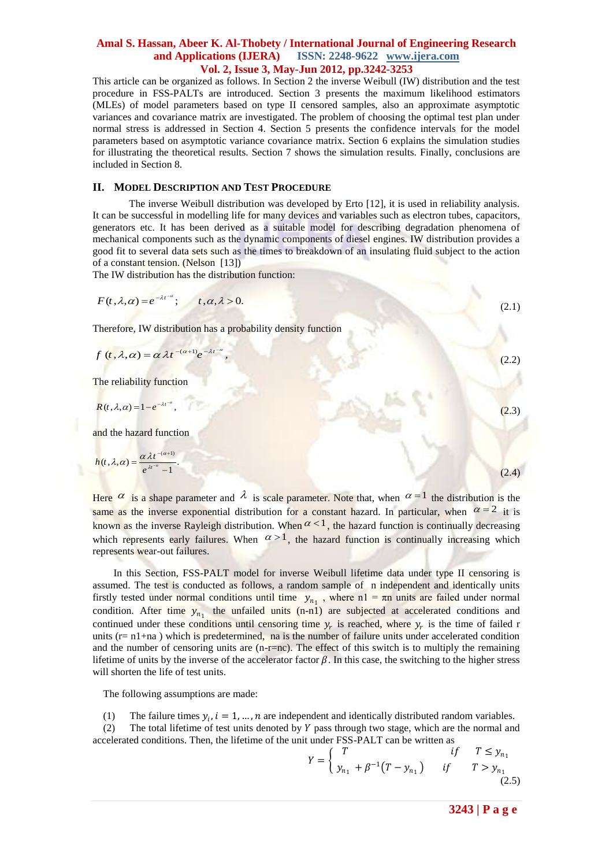This article can be organized as follows. In Section 2 the inverse Weibull (IW) distribution and the test procedure in FSS-PALTs are introduced. Section 3 presents the maximum likelihood estimators (MLEs) of model parameters based on type II censored samples, also an approximate asymptotic variances and covariance matrix are investigated. The problem of choosing the optimal test plan under normal stress is addressed in Section 4. Section 5 presents the confidence intervals for the model parameters based on asymptotic variance covariance matrix. Section 6 explains the simulation studies for illustrating the theoretical results. Section 7 shows the simulation results. Finally, conclusions are included in Section 8.

#### **II. MODEL DESCRIPTION AND TEST PROCEDURE**

The inverse Weibull distribution was developed by Erto [12], it is used in reliability analysis. It can be successful in modelling life for many devices and variables such as electron tubes, capacitors, generators etc. It has been derived as a suitable model for describing degradation phenomena of mechanical components such as the dynamic components of diesel engines. IW distribution provides a good fit to several data sets such as the times to breakdown of an insulating fluid subject to the action of a constant tension. (Nelson [13])

The IW distribution has the distribution function:

$$
F(t,\lambda,\alpha) = e^{-\lambda t^{-\alpha}}; \qquad t,\alpha,\lambda > 0.
$$
\n(2.1)

Therefore, IW distribution has a probability density function

$$
f(t,\lambda,\alpha)=\alpha \lambda t^{-(\alpha+1)}e^{-\lambda t^{-\alpha}},
$$

The reliability function

$$
R(t,\lambda,\alpha) = 1 - e^{-\lambda t^{-\alpha}},\tag{2.3}
$$

and the hazard function

$$
h(t,\lambda,\alpha) = \frac{\alpha \lambda t^{-(\alpha+1)}}{e^{\lambda t^{-\alpha}} - 1}.
$$
\n(2.4)

 $(2.2)$ 

Here  $\alpha$  is a shape parameter and  $\lambda$  is scale parameter. Note that, when  $\alpha = 1$  the distribution is the same as the inverse exponential distribution for a constant hazard. In particular, when  $\alpha = 2$  it is known as the inverse Rayleigh distribution. When  $\alpha < 1$ , the hazard function is continually decreasing which represents early failures. When  $\alpha > 1$ , the hazard function is continually increasing which represents wear-out failures.

 In this Section, FSS-PALT model for inverse Weibull lifetime data under type II censoring is assumed. The test is conducted as follows, a random sample of n independent and identically units firstly tested under normal conditions until time  $y_{n_1}$ , where n1 = πn units are failed under normal condition. After time  $y_{n_1}$  the unfailed units (n-n1) are subjected at accelerated conditions and continued under these conditions until censoring time  $y_r$  is reached, where  $y_r$  is the time of failed r units  $(r=n1+na)$  which is predetermined, na is the number of failure units under accelerated condition and the number of censoring units are  $(n-r=nc)$ . The effect of this switch is to multiply the remaining lifetime of units by the inverse of the accelerator factor  $\beta$ . In this case, the switching to the higher stress will shorten the life of test units.

The following assumptions are made:

(1) The failure times  $y_i$ ,  $i = 1, ..., n$  are independent and identically distributed random variables.

(2) The total lifetime of test units denoted by  $Y$  pass through two stage, which are the normal and accelerated conditions. Then, the lifetime of the unit under FSS-PALT can be written as

$$
Y = \begin{cases} T & \text{if } T \le y_{n_1} \\ y_{n_1} + \beta^{-1}(T - y_{n_1}) & \text{if } T > y_{n_1} \\ (2.5) \end{cases}
$$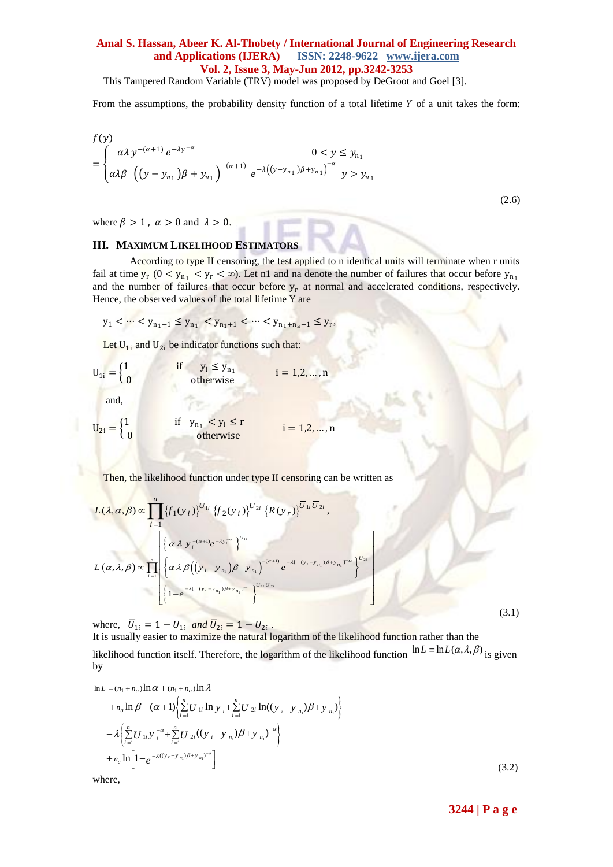This Tampered Random Variable (TRV) model was proposed by DeGroot and Goel [3].

From the assumptions, the probability density function of a total lifetime  $Y$  of a unit takes the form:

$$
f(y) = \begin{cases} \alpha \lambda y^{-(\alpha+1)} e^{-\lambda y^{-\alpha}} & 0 < y \le y_{n_1} \\ \alpha \lambda \beta \left( (y - y_{n_1}) \beta + y_{n_1} \right)^{-(\alpha+1)} e^{-\lambda \left( (y - y_{n_1}) \beta + y_{n_1} \right)^{-\alpha}} & y > y_{n_1} \end{cases}
$$

(2.6)

where  $\beta > 1$ ,  $\alpha > 0$  and  $\lambda > 0$ .

#### **III. MAXIMUM LIKELIHOOD ESTIMATORS**

According to type II censoring, the test applied to n identical units will terminate when r units fail at time  $y_r$  ( $0 < y_{n_1} < y_r < \infty$ ). Let n1 and na denote the number of failures that occur before  $y_{n_1}$ and the number of failures that occur before  $y_r$  at normal and accelerated conditions, respectively. Hence, the observed values of the total lifetime Y are

$$
y_1 < \cdots < y_{n_1 - 1} \le y_{n_1} < y_{n_1 + 1} < \cdots < y_{n_1 + n_a - 1} \le y_r
$$

Let  $U_{1i}$  and  $U_{2i}$  be indicator functions such that:

$$
U_{1i} = \begin{cases} 1 & \text{if } y_i \le y_{n_1} \\ 0 & \text{otherwise} \end{cases} \quad i = 1, 2, ..., n
$$

and,

$$
U_{2i} = \begin{cases} 1 & \text{if } y_{n_1} < y_i \le r \\ 0 & \text{otherwise} \end{cases} \quad i = 1, 2, \dots, n
$$

Then, the likelihood function under type II censoring can be written as

$$
L(\lambda, \alpha, \beta) \propto \prod_{i=1}^{n} \{f_1(y_i)\}^{U_{1i}} \{f_2(y_i)\}^{U_{2i}} \{R(y_r)\}^{\overline{U}_{1i} \overline{U}_{2i}},
$$
  

$$
L(\alpha, \lambda, \beta) \propto \prod_{i=1}^{n} \left\{ \alpha \lambda y_i^{-(\alpha+1)} e^{-\lambda y_i^{-\alpha}} \right\}^{U_{1i}}
$$
  

$$
L(\alpha, \lambda, \beta) \propto \prod_{i=1}^{n} \left\{ \alpha \lambda \beta \left( (y_i - y_{n_i}) \beta + y_{n_i} \right)^{-(\alpha+1)} e^{-\lambda [-(y_i - y_{n_i}) \beta + y_{n_i}]^{-\alpha}} \right\}^{U_{2i}}
$$
  

$$
\left\{ 1 - e^{-\lambda [-(y_r - y_{n_i}) \beta + y_{n_i}]^{-\alpha}} \right\}^{\overline{U}_{1i} \overline{U}_{2i}}
$$
  
(3.1)

where,  $\bar{U}_{1i} = 1 - U_{1i}$  and  $\bar{U}_{2i} = 1 - U_{2i}$ .

It is usually easier to maximize the natural logarithm of the likelihood function rather than the likelihood function itself. Therefore, the logarithm of the likelihood function  $\ln L = \ln L(\alpha, \lambda, \beta)$  is given by<br>  $\ln L = (n_1 + n_a) \ln \alpha + (n_1 + n_a) \ln \lambda$ by

by  
\n
$$
\ln L = (n_1 + n_a) \ln \alpha + (n_1 + n_a) \ln \lambda
$$
\n
$$
+ n_a \ln \beta - (\alpha + 1) \left\{ \sum_{i=1}^n U_{1i} \ln y_i + \sum_{i=1}^n U_{2i} \ln((y_i - y_{n_i})\beta + y_{n_i}) \right\}
$$
\n
$$
- \lambda \left\{ \sum_{i=1}^n U_{1i} y_i^{-\alpha} + \sum_{i=1}^n U_{2i} ((y_i - y_{n_i})\beta + y_{n_i})^{-\alpha} \right\}
$$
\n
$$
+ n_c \ln \left[ 1 - e^{-\lambda ((y_i - y_{n_i})\beta + y_{n_i})^{-\alpha}} \right]
$$
\n(3.2)

where,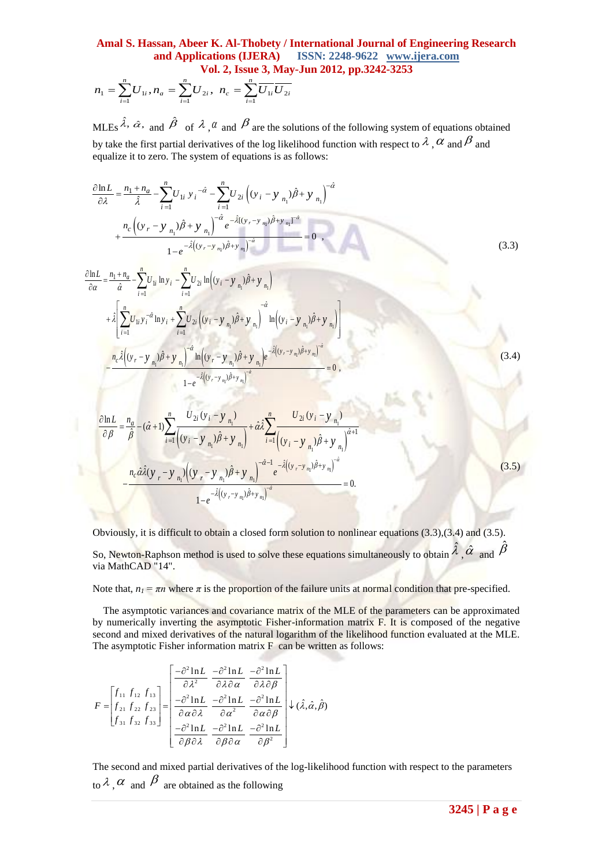$$
n_1 = \sum_{i=1}^{n} U_{1i}, n_a = \sum_{i=1}^{n} U_{2i}, n_c = \sum_{i=1}^{n} \overline{U_{1i}} \overline{U_{2i}}
$$

MLEs  $\hat{\lambda}$ ,  $\hat{\alpha}$ , and  $\hat{\beta}$  of  $\lambda$ ,  $\alpha$  and  $\beta$  are the solutions of the following system of equations obtained by take the first partial derivatives of the log likelihood function with respect to  $\lambda$ ,  $\alpha$  and  $\beta$  and

$$
n_1 = \sum_{i=1}^{n} U_{1i}, n_n = \sum_{i=1}^{n} U_{2i}, n_n = \sum_{i=1}^{n} \overline{U_{1i}} \overline{U_{2i}}
$$
  
\n
$$
MLEs \hat{A}, \hat{\alpha}, \text{ and } \hat{\beta} \text{ of } \hat{A}, \hat{\alpha} \text{ and } \hat{\beta} \text{ are the solutions of the following system of equations obtained by take the first partial derivative of the log likelihood function with respect to } \hat{\alpha}, \hat{\alpha} \text{ and } \hat{\beta} \text{ and}
$$
  
\nequanta: it to zero. The system of equations is as follows:  
\n
$$
\frac{\partial nL}{\partial \lambda} = \frac{n_1 + n_0}{\lambda} - \sum_{i=1}^{n} U_{1i} y_i = \sum_{i=1}^{n} U_{2i} (y_i - y_{n_i}) \hat{\beta} + y_{n_i} \Big)^{-\hat{\alpha}}
$$
\n
$$
+ \sum_{i=1}^{n} U_{1i} \overline{n y_i} - \sum_{i=1}^{n} U_{2i} \left[ (y_i - y_{n_i}) \hat{\beta} + y_{n_i} \right] \Big| \hat{\alpha} = \frac{\hat{\alpha}(y_i - y_n) \hat{\beta} + y_{n_i}}{\lambda \hat{\alpha}} = 0
$$
\n
$$
+ \sum_{i=1}^{n} U_{1i} \overline{n y_i} + \sum_{i=1}^{n} U_{2i} \overline{n y_i} \Big| (y_i - y_{n_i}) \hat{\beta} + y_{n_i} \Big| \frac{\hat{\alpha}(y_i - y_{n_i}) \hat{\beta} + y_{n_i}}{\lambda \hat{\alpha}} = 0
$$
\n
$$
+ \sum_{i=1}^{n} U_{2i} \overline{n y_i} \Big| (y_i - y_{n_i}) \hat{\beta} + y_{n_i} \Big| \frac{\hat{\alpha}(y_i - y_{n_i}) \hat{\beta} + y_{n_i}}{\lambda \hat{\alpha}} \Big| \frac{\hat{\alpha}(y_i - y_{n_i}) \hat{\beta} + y_{n_i}}{\lambda \hat{\alpha}} \Big| \frac{\hat{\alpha}(y_i - y_{n_i}) \hat{\beta} + y_{n_i}}{\lambda \hat{\alpha}} \Big| \frac{\hat{\alpha}(y_i - y_{n_i}) \hat{\beta} + y_{n_i}}{\lambda \hat{\alpha}} \Big| \frac{\hat{\alpha}(y_i - y_{n_i}) \hat{\beta} + y_{n_i
$$

$$
1 - e^{-\lambda (y_r - y_{n_1})} \hat{i}
$$
  
\n
$$
\frac{\partial \ln L}{\partial \beta} = \frac{n_a}{\hat{\beta}} - (\hat{\alpha} + 1) \sum_{i=1}^n \frac{U_{2i} (y_i - y_{n_1})}{((y_i - y_{n_1})\hat{\beta} + y_{n_1})} + \hat{\alpha} \hat{\lambda} \sum_{i=1}^n \frac{U_{2i} (y_i - y_{n_1})}{((y_i - y_{n_1})\hat{\beta} + y_{n_1})} + \hat{i}
$$
  
\n
$$
- \frac{n_c \hat{\alpha} \hat{\lambda} (y_r - y_{n_1}) ((y_r - y_{n_1})\hat{\beta} + y_{n_1})^{-\hat{\alpha} - 1} e^{-\hat{\lambda} ((y_r - y_{n_1})\hat{\beta} + y_{n_1})^{-\hat{\alpha}}}}{1 - e^{-\hat{\lambda} ((y_r - y_{n_1})\hat{\beta} + y_{n_1})^{-\hat{\alpha}}}} = 0.
$$
\n(3.5)

Obviously, it is difficult to obtain a closed form solution to nonlinear equations (3.3),(3.4) and (3.5). So, Newton-Raphson method is used to solve these equations simultaneously to obtain  $\hat{\lambda}$ ,  $\hat{\alpha}$  and  $\hat{\beta}$ via MathCAD "14".

Note that,  $n_1 = \pi n$  where  $\pi$  is the proportion of the failure units at normal condition that pre-specified.

The asymptotic variances and covariance matrix of the MLE of the parameters can be approximated by numerically inverting the asymptotic Fisher-information matrix F. It is composed of the negative second and mixed derivatives of the natural logarithm of the likelihood function evaluated at the MLE. The asymptotic Fisher information matrix F can be written as follows:

$$
F = \begin{bmatrix} f_{11} & f_{12} & f_{13} \\ f_{21} & f_{22} & f_{23} \\ f_{31} & f_{32} & f_{33} \end{bmatrix} = \begin{bmatrix} \frac{-\partial^2 \ln L}{\partial \lambda^2} & \frac{-\partial^2 \ln L}{\partial \lambda \partial \alpha} & \frac{-\partial^2 \ln L}{\partial \lambda \partial \beta} \\ \frac{-\partial^2 \ln L}{\partial \alpha \partial \lambda} & \frac{-\partial^2 \ln L}{\partial \alpha^2} & \frac{-\partial^2 \ln L}{\partial \alpha \partial \beta} \\ \frac{-\partial^2 \ln L}{\partial \beta \partial \lambda} & \frac{-\partial^2 \ln L}{\partial \beta \partial \alpha} & \frac{-\partial^2 \ln L}{\partial \beta^2} \end{bmatrix} \downarrow (\hat{\lambda}, \hat{\alpha}, \hat{\beta})
$$

The second and mixed partial derivatives of the log-likelihood function with respect to the parameters to  $\lambda$ ,  $\alpha$  and  $\beta$  are obtained as the following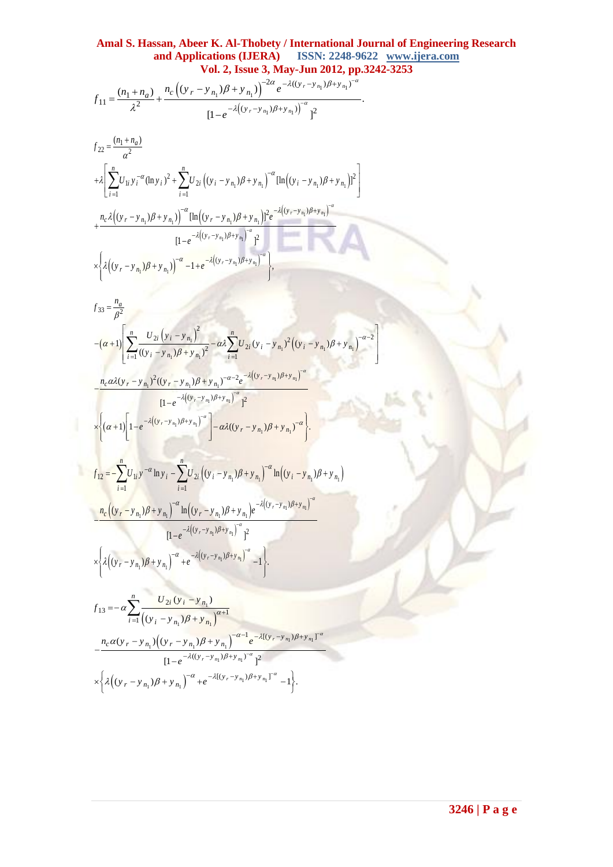α

 $\begin{bmatrix} -\alpha-2 \end{bmatrix}$ 

$$
\mathbf{Vol. 2, Issue 3, May-Jun 2012, pp.}
$$
  

$$
f_{11} = \frac{(n_1 + n_a)}{\lambda^2} + \frac{n_c \left( (y_r - y_{n_1}) \beta + y_{n_1} \right)^{-2\alpha} e^{-\lambda ((y_r - y_{n_1}) \beta + y_{n_1})^{-\alpha}}}{\left[ 1 - e^{-\lambda \left( (y_r - y_{n_1}) \beta + y_{n_1} \right) \right]^{\alpha}} \Big]^2}.
$$

$$
f_{22} = \frac{(n_1 + n_a)}{\alpha^2}
$$
  
+  $\lambda \left[ \sum_{i=1}^n U_{1i} y_i^{-\alpha} (\ln y_i)^2 + \sum_{i=1}^n U_{2i} ((y_i - y_{n_1})\beta + y_{n_1})^{-\alpha} [\ln((y_i - y_{n_1})\beta + y_{n_1})]^2 \right]$   
+  $\frac{n_c \lambda ((y_r - y_{n_1})\beta + y_{n_1})^{-\alpha} [\ln((y_r - y_{n_1})\beta + y_{n_1})]^2 e^{-\lambda ((y_r - y_{n_1})\beta + y_{n_1})^{-\alpha}}}{[1 - e^{-\lambda ((y_r - y_{n_1})\beta + y_{n_1})}]^2]^2}$   
 $\times \left\{ \lambda ((y_r - y_{n_1})\beta + y_{n_1}) \right\}^{-\alpha} - 1 + e^{-\lambda ((y_r - y_{n_1})\beta + y_{n_1})^{-\alpha}} \right\},$ 

$$
f_{11} = \frac{(n_1 + n_a)}{\lambda^2} + \frac{n_c \left( (y_r - y_{n_1}) \beta + y_{n_1} \right)}{(1 - e^{-\lambda((y_r - y_{n_1})\beta + y_{n_1})})} + \frac{n_c \left( (y_r - y_{n_1}) \beta + y_{n_1} \right)}{(1 - e^{-\lambda((y_r - y_{n_1})\beta + y_{n_1})})^2]^2}
$$
\n
$$
f_{22} = \frac{(n_1 + n_a)}{a^2}
$$
\n
$$
+ \lambda \left[ \sum_{i=1}^n U_{11} y_i{}^a (\ln y_i)^2 + \sum_{i=1}^n U_{2i} \left( (y_i - y_{n_1}) \beta + y_{n_1} \right)^2 [\ln[(y_i - y_{n_1}) \beta + y_{n_1}]^2] \right]
$$
\n
$$
+ \frac{n_c \lambda \left( (y_r - y_{n_1}) \beta + y_{n_1} \right)^2 [\ln[(y_r - y_{n_1}) \beta + y_{n_1}]^2 e^{-\lambda \left( (y_r - y_{n_1}) \beta + y_{n_1} \right)^2}]^2}{(1 - e^{-\lambda \left( (y_r - y_{n_1}) \beta + y_{n_1} \right)^2}] + \lambda \left[ \lambda \left( (y_r - y_{n_1}) \beta + y_{n_1} \right)^2 - \lambda \left( (y_i - y_{n_1}) \beta + y_{n_1} \right)^2 \right]
$$
\n
$$
= \frac{n_a \left( (y_r - y_{n_1}) \beta + y_{n_1} \right)^2}{\left[ (1 - e^{-\lambda \left( (y_r - y_{n_1}) \beta + y_{n_1} \right)^2} - \frac{n_c \left( y_{21} \left( y_{11} - y_{n_1} \right) \beta + y_{n_1} \right)^2}{(1 - e^{-\lambda \left( (y_r - y_{n_1}) \beta + y_{n_1} \right)^2} - \frac{n_c \left( y_{21} \left( y_{11} - y_{n_1} \right) \beta + y_{n_1} \right)^2}{(1 - e^{-\lambda \left( (y_r - y_{n_1}) \beta + y_{n_1} \right)^2} - \frac{n_c \left( y_{22} \left( y_{11} - y_{n_1} \right) \beta + y_{n_1} \right)^2}{
$$

$$
[1 - e^{-\lambda((y_r - y_{n_1})\rho + y_{n_1})}]^2
$$
  
 
$$
\times \left\{\lambda \left((y_r - y_{n_1})\beta + y_{n_1}\right)^{-\alpha} + e^{-\lambda \left((y_r - y_{n_1})\beta + y_{n_1}\right)^{-\alpha}} - 1\right\}.
$$

$$
f_{13} = -\alpha \sum_{i=1}^{n} \frac{U_{2i} (y_i - y_{n_1})}{((y_i - y_{n_1})\beta + y_{n_1})^{\alpha+1}}
$$
  

$$
-\frac{n_c \alpha (y_r - y_{n_1}) ((y_r - y_{n_1})\beta + y_{n_1})^{-\alpha-1} e^{-\lambda [(y_r - y_{n_1})\beta + y_{n_1}]^{-\alpha}}}{[1 - e^{-\lambda ((y_r - y_{n_1})\beta + y_{n_1})^{-\alpha}}]^2}
$$
  

$$
\times \left\{\lambda \left((y_r - y_{n_1})\beta + y_{n_1}\right)^{-\alpha} + e^{-\lambda [(y_r - y_{n_1})\beta + y_{n_1}]^{-\alpha}} - 1\right\}.
$$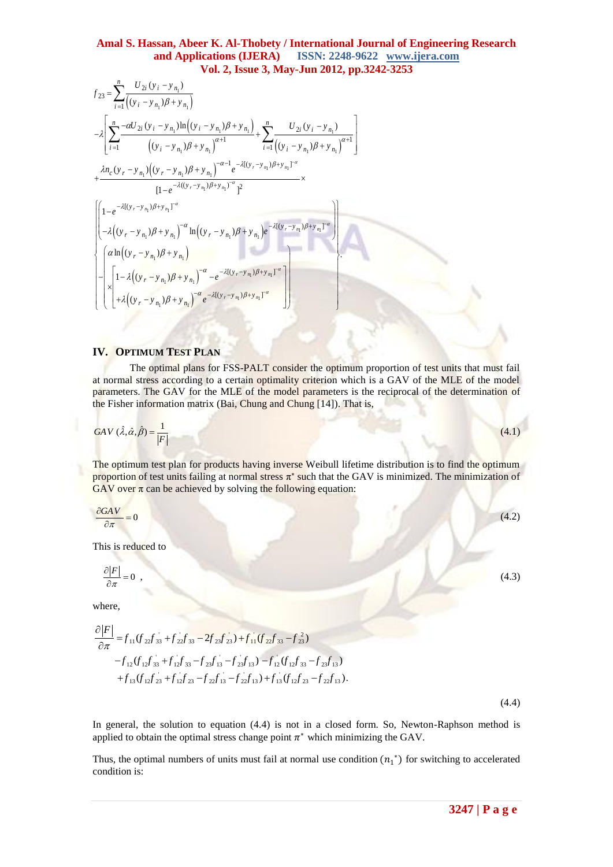$$
Vol. 2, Issue 3, May-Jun 2012, pp.3242
$$
  
\n
$$
f_{23} = \sum_{i=1}^{n} \frac{U_{2i}(y_i - y_{n_1})}{((y_i - y_{n_1})\beta + y_{n_1})}
$$
  
\n
$$
-\lambda \left[ \sum_{i=1}^{n} \frac{-\alpha U_{2i}(y_i - y_{n_1})\ln((y_i - y_{n_1})\beta + y_{n_1})}{((y_i - y_{n_1})\beta + y_{n_1})^{\alpha+1}} + \sum_{i=1}^{n} \frac{U_{2i}(y_i - y_{n_1})}{((y_i - y_{n_1})\beta + y_{n_1})^{\alpha+1}} \right]
$$
  
\n
$$
+\frac{\lambda n_c(y_r - y_{n_1})((y_r - y_{n_1})\beta + y_{n_1})^{-\alpha-1}e^{-\lambda[(y_r - y_{n_1})\beta + y_{n_1}]^{-\alpha}}}{[1 - e^{-\lambda((y_r - y_{n_1})\beta + y_{n_1})^{-\alpha}}]^2} \times
$$
  
\n
$$
\left[1 - e^{-\lambda[(y_r - y_{n_1})\beta + y_{n_1}]^{-\alpha}}\ln((y_r - y_{n_1})\beta + y_{n_1})e^{-\lambda[(y_r - y_{n_1})\beta + y_{n_1}]^{-\alpha}}\right]
$$
  
\n
$$
-\lambda \left[\left(1 - \lambda \left((y_r - y_{n_1})\beta + y_{n_1}\right)\right)^{-\alpha} \ln((y_r - y_{n_1})\beta + y_{n_1}]e^{-\lambda[(y_r - y_{n_1})\beta + y_{n_1}]^{-\alpha}}\right]
$$
  
\n
$$
\times \left[\lambda \left[1 - \lambda \left((y_r - y_{n_1})\beta + y_{n_1}\right)\right]^{-\alpha} e^{-\lambda[(y_r - y_{n_1})\beta + y_{n_1}]^{-\alpha}}\right]
$$

## **IV. OPTIMUM TEST PLAN**

The optimal plans for FSS-PALT consider the optimum proportion of test units that must fail at normal stress according to a certain optimality criterion which is a GAV of the MLE of the model parameters. The GAV for the MLE of the model parameters is the reciprocal of the determination of the Fisher information matrix (Bai, Chung and Chung [14]). That is,

$$
GAV \left( \hat{\lambda}, \hat{\alpha}, \hat{\beta} \right) = \frac{1}{|F|} \tag{4.1}
$$

The optimum test plan for products having inverse Weibull lifetime distribution is to find the optimum proportion of test units failing at normal stress  $\pi^*$  such that the GAV is minimized. The minimization of GAV over  $\pi$  can be achieved by solving the following equation:

$$
\frac{\partial GAV}{\partial \pi} = 0 \tag{4.2}
$$

This is reduced to

$$
\frac{\partial |F|}{\partial \pi} = 0
$$

where,

$$
\frac{\partial |F|}{\partial \pi} = f_{11}(f_{22}f_{33} + f_{22}f_{33} - 2f_{23}f_{23}) + f_{11}(f_{22}f_{33} - f_{23}f_{23})
$$
  
\n
$$
-f_{12}(f_{12}f_{33} + f_{12}f_{33} - f_{23}f_{13} - f_{23}f_{13}) - f_{12}(f_{12}f_{33} - f_{23}f_{13})
$$
  
\n
$$
+f_{13}(f_{12}f_{23} + f_{12}f_{23} - f_{22}f_{13} - f_{22}f_{13}) + f_{13}(f_{12}f_{23} - f_{22}f_{13}).
$$

(4.4)

In general, the solution to equation (4.4) is not in a closed form. So, Newton-Raphson method is applied to obtain the optimal stress change point  $\pi^*$  which minimizing the GAV.

Thus, the optimal numbers of units must fail at normal use condition  $(n_1^*)$  for switching to accelerated condition is:

,  $(4.3)$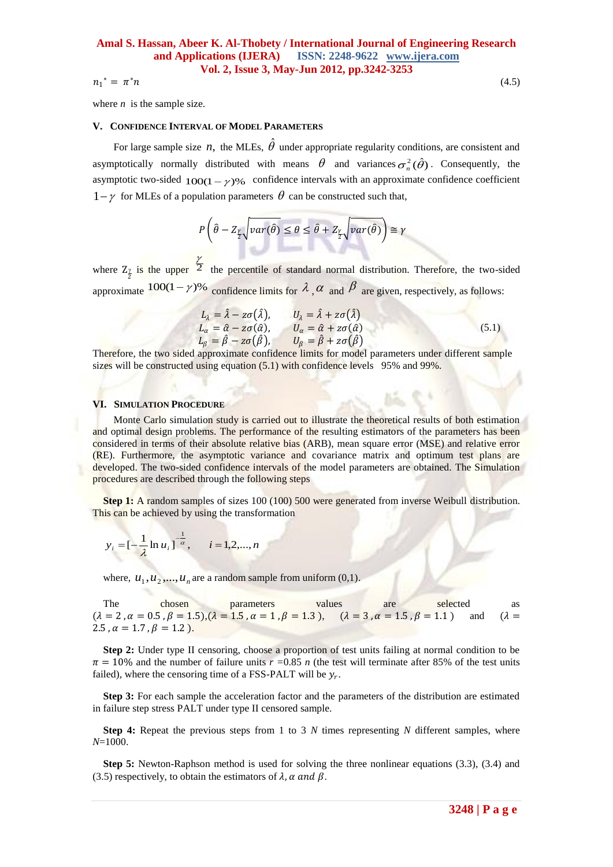$n_1^* = \pi$ 

where  $n$  is the sample size.

#### **V. CONFIDENCE INTERVAL OF MODEL PARAMETERS**

For large sample size  $n$ , the MLEs,  $\hat{\theta}$  under appropriate regularity conditions, are consistent and asymptotically normally distributed with means  $\theta$  and variances  $\sigma_n^2(\hat{\theta})$ . Consequently, the asymptotic two-sided  $100(1 - \gamma)\%$  confidence intervals with an approximate confidence coefficient  $1-\gamma$  for MLEs of a population parameters  $\theta$  can be constructed such that,

$$
P\left(\hat{\theta} - Z_{\frac{\gamma}{2}}\sqrt{var(\hat{\theta})} \le \theta \le \hat{\theta} + Z_{\frac{\gamma}{2}}\sqrt{var(\hat{\theta})}\right) \cong \gamma
$$

where  $Z_{\frac{\gamma}{2}}$  is the upper  $\frac{\gamma}{2}$  the percentile of standard normal distribution. Therefore, the two-sided approximate  $100(1-\gamma)$ % confidence limits for  $\lambda$ ,  $\alpha$  and  $\beta$  are given, respectively, as follows:

$$
L_{\lambda} = \hat{\lambda} - z\sigma(\hat{\lambda}), \qquad U_{\lambda} = \hat{\lambda} + z\sigma(\hat{\lambda})
$$
  
\n
$$
L_{\alpha} = \hat{\alpha} - z\sigma(\hat{\alpha}), \qquad U_{\alpha} = \hat{\alpha} + z\sigma(\hat{\alpha})
$$
  
\n
$$
L_{\beta} = \hat{\beta} - z\sigma(\hat{\beta}), \qquad U_{\beta} = \hat{\beta} + z\sigma(\hat{\beta})
$$
\n(5.1)

Therefore, the two sided approximate confidence limits for model parameters under different sample sizes will be constructed using equation (5.1) with confidence levels 95% and 99%.

#### **VI. SIMULATION PROCEDURE**

 Monte Carlo simulation study is carried out to illustrate the theoretical results of both estimation and optimal design problems. The performance of the resulting estimators of the parameters has been considered in terms of their absolute relative bias (ARB), mean square error (MSE) and relative error (RE). Furthermore, the asymptotic variance and covariance matrix and optimum test plans are developed. The two-sided confidence intervals of the model parameters are obtained. The Simulation procedures are described through the following steps

**Step 1:** A random samples of sizes 100 (100) 500 were generated from inverse Weibull distribution. This can be achieved by using the transformation

$$
y_i = [-\frac{1}{\lambda} \ln u_i]^{\frac{1}{\alpha}}, \quad i = 1, 2, ..., n
$$

where,  $u_1, u_2, ..., u_n$  are a random sample from uniform (0,1).

The chosen parameters values are selected as  $(\lambda = 2, \alpha = 0.5, \beta = 1.5), (\lambda = 1.5, \alpha = 1, \beta = 1.3),$   $(\lambda = 3, \alpha = 1.5, \beta = 1.1)$  and  $(\lambda = 1.5, \beta = 1.5)$ 2.5,  $\alpha = 1.7$ ,  $\beta = 1.2$ ).

**Step 2:** Under type II censoring, choose a proportion of test units failing at normal condition to be  $\pi = 10\%$  and the number of failure units  $r = 0.85$  *n* (the test will terminate after 85% of the test units failed), where the censoring time of a FSS-PALT will be  $y_r$ .

**Step 3:** For each sample the acceleration factor and the parameters of the distribution are estimated in failure step stress PALT under type II censored sample.

**Step 4:** Repeat the previous steps from 1 to 3 *N* times representing *N* different samples, where *N*=1000.

**Step 5:** Newton-Raphson method is used for solving the three nonlinear equations (3.3), (3.4) and (3.5) respectively, to obtain the estimators of  $\lambda$ ,  $\alpha$  and  $\beta$ .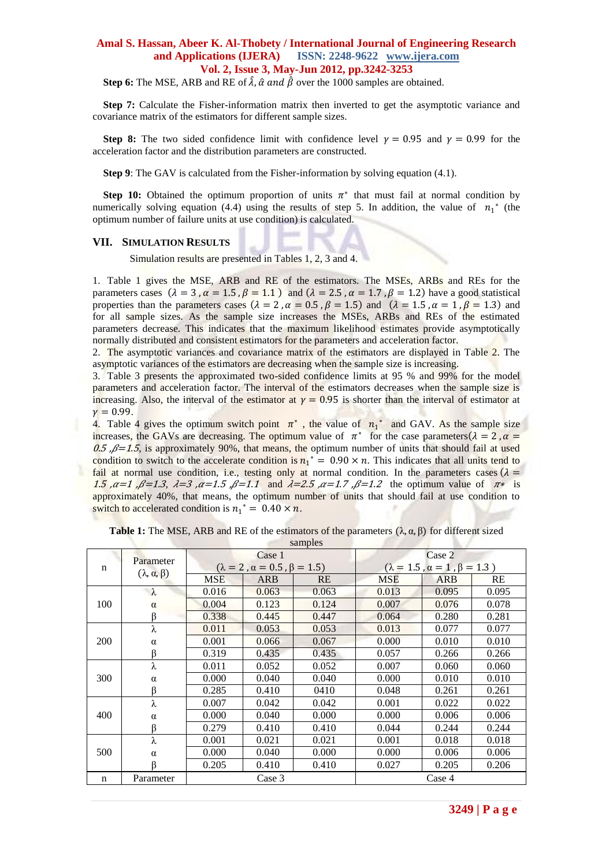**Step 6:** The MSE, ARB and RE of  $\hat{\lambda}$ ,  $\hat{\alpha}$  and  $\hat{\beta}$  over the 1000 samples are obtained.

**Step 7:** Calculate the Fisher-information matrix then inverted to get the asymptotic variance and covariance matrix of the estimators for different sample sizes.

**Step 8:** The two sided confidence limit with confidence level  $v = 0.95$  and  $v = 0.99$  for the acceleration factor and the distribution parameters are constructed.

**Step 9**: The GAV is calculated from the Fisher-information by solving equation (4.1).

**Step 10:** Obtained the optimum proportion of units  $\pi^*$  that must fail at normal condition by numerically solving equation (4.4) using the results of step 5. In addition, the value of  $n_1^*$  (the optimum number of failure units at use condition) is calculated.

#### **VII. SIMULATION RESULTS**

Simulation results are presented in Tables 1, 2, 3 and 4.

×

1. Table 1 gives the MSE, ARB and RE of the estimators. The MSEs, ARBs and REs for the parameters cases  $(\lambda = 3, \alpha = 1.5, \beta = 1.1)$  and  $(\lambda = 2.5, \alpha = 1.7, \beta = 1.2)$  have a good statistical properties than the parameters cases ( $\lambda = 2$ ,  $\alpha = 0.5$ ,  $\beta = 1.5$ ) and ( $\lambda = 1.5$ ,  $\alpha = 1$ ,  $\beta = 1.3$ ) and for all sample sizes. As the sample size increases the MSEs, ARBs and REs of the estimated parameters decrease. This indicates that the maximum likelihood estimates provide asymptotically normally distributed and consistent estimators for the parameters and acceleration factor.

2. The asymptotic variances and covariance matrix of the estimators are displayed in Table 2. The asymptotic variances of the estimators are decreasing when the sample size is increasing.

3. Table 3 presents the approximated two-sided confidence limits at 95 % and 99% for the model parameters and acceleration factor. The interval of the estimators decreases when the sample size is increasing. Also, the interval of the estimator at  $\gamma = 0.95$  is shorter than the interval of estimator at  $\nu = 0.99$ .

4. Table 4 gives the optimum switch point  $\pi^*$ , the value of  $n_1^*$  and GAV. As the sample size increases, the GAVs are decreasing. The optimum value of  $\pi^*$  for the case parameters  $(\lambda = 2, \alpha = 1)$ 0.5  $\beta$ =1.5, is approximately 90%, that means, the optimum number of units that should fail at used condition to switch to the accelerate condition is  $n_1^* = 0.90 \times n$ . This indicates that all units tend to fail at normal use condition, i.e., testing only at normal condition. In the parameters cases  $(\lambda =$ 1.5 , $\alpha = 1$ , $\beta = 1.3$ ,  $\lambda = 3$ , $\alpha = 1.5$ , $\beta = 1.1$  and  $\lambda = 2.5$ , $\alpha = 1.7$ , $\beta = 1.2$  the optimum value of  $\pi$ <sup>\*</sup> is approximately 40%, that means, the optimum number of units that should fail at use condition to switch to accelerated condition is  $n_1^* = 0.40 \times n$ .

|             | Parameter                  |            | Case 1                                     |           |       | Case 2                                     |       |
|-------------|----------------------------|------------|--------------------------------------------|-----------|-------|--------------------------------------------|-------|
| n           | $(\lambda, \alpha, \beta)$ |            | $(\lambda = 2, \alpha = 0.5, \beta = 1.5)$ |           |       | $(\lambda = 1.5, \alpha = 1, \beta = 1.3)$ |       |
|             |                            | <b>MSE</b> | ARB                                        | <b>RE</b> | MSE   | ARB                                        | RE    |
|             | $\lambda$                  | 0.016      | 0.063                                      | 0.063     | 0.013 | 0.095                                      | 0.095 |
| 100         | $\alpha$                   | 0.004      | 0.123                                      | 0.124     | 0.007 | 0.076                                      | 0.078 |
|             | ß                          | 0.338      | 0.445                                      | 0.447     | 0.064 | 0.280                                      | 0.281 |
|             | λ                          | 0.011      | 0.053                                      | 0.053     | 0.013 | 0.077                                      | 0.077 |
| <b>200</b>  | $\alpha$                   | 0.001      | 0.066                                      | 0.067     | 0.000 | 0.010                                      | 0.010 |
|             | ß                          | 0.319      | 0.435                                      | 0.435     | 0.057 | 0.266                                      | 0.266 |
|             | λ                          | 0.011      | 0.052                                      | 0.052     | 0.007 | 0.060                                      | 0.060 |
| 300         | $\alpha$                   | 0.000      | 0.040                                      | 0.040     | 0.000 | 0.010                                      | 0.010 |
|             | ß                          | 0.285      | 0.410                                      | 0410      | 0.048 | 0.261                                      | 0.261 |
|             | λ                          | 0.007      | 0.042                                      | 0.042     | 0.001 | 0.022                                      | 0.022 |
| 400         | $\alpha$                   | 0.000      | 0.040                                      | 0.000     | 0.000 | 0.006                                      | 0.006 |
|             | β                          | 0.279      | 0.410                                      | 0.410     | 0.044 | 0.244                                      | 0.244 |
|             | λ                          | 0.001      | 0.021                                      | 0.021     | 0.001 | 0.018                                      | 0.018 |
| 500         | $\alpha$                   | 0.000      | 0.040                                      | 0.000     | 0.000 | 0.006                                      | 0.006 |
|             | ß                          | 0.205      | 0.410                                      | 0.410     | 0.027 | 0.205                                      | 0.206 |
| $\mathbf n$ | Parameter                  |            | Case 3                                     |           |       | Case 4                                     |       |

**Table 1:** The MSE, ARB and RE of the estimators of the parameters  $(\lambda, \alpha, \beta)$  for different sized samples

×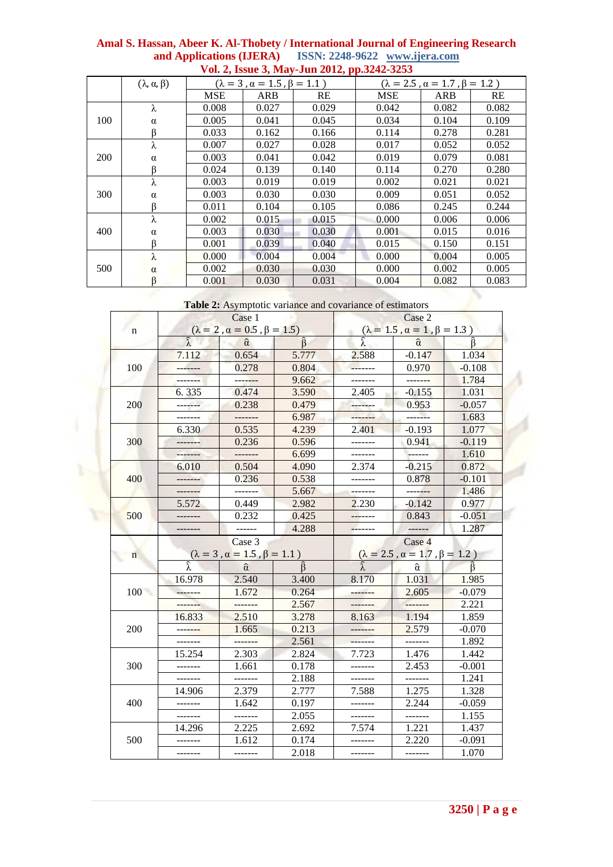|     |                            |            |                                            | VOI. 2, ISSUE 3, May-Jun 2012, pp.3242-3253 |                                              |       |       |  |
|-----|----------------------------|------------|--------------------------------------------|---------------------------------------------|----------------------------------------------|-------|-------|--|
|     | $(\lambda, \alpha, \beta)$ |            | $(\lambda = 3, \alpha = 1.5, \beta = 1.1)$ |                                             | $(\lambda = 2.5, \alpha = 1.7, \beta = 1.2)$ |       |       |  |
|     |                            | <b>MSE</b> | ARB                                        | RE                                          | <b>MSE</b>                                   | ARB   | RE    |  |
|     | λ                          | 0.008      | 0.027                                      | 0.029                                       | 0.042                                        | 0.082 | 0.082 |  |
| 100 | $\alpha$                   | 0.005      | 0.041                                      | 0.045                                       | 0.034                                        | 0.104 | 0.109 |  |
|     | ß                          | 0.033      | 0.162                                      | 0.166                                       | 0.114                                        | 0.278 | 0.281 |  |
|     | λ                          | 0.007      | 0.027                                      | 0.028                                       | 0.017                                        | 0.052 | 0.052 |  |
| 200 | $\alpha$                   | 0.003      | 0.041                                      | 0.042                                       | 0.019                                        | 0.079 | 0.081 |  |
|     |                            | 0.024      | 0.139                                      | 0.140                                       | 0.114                                        | 0.270 | 0.280 |  |
|     | λ                          | 0.003      | 0.019                                      | 0.019                                       | 0.002                                        | 0.021 | 0.021 |  |
| 300 | $\alpha$                   | 0.003      | 0.030                                      | 0.030                                       | 0.009                                        | 0.051 | 0.052 |  |
|     | ß                          | 0.011      | 0.104                                      | 0.105                                       | 0.086                                        | 0.245 | 0.244 |  |
|     | λ                          | 0.002      | 0.015                                      | 0.015                                       | 0.000                                        | 0.006 | 0.006 |  |
| 400 | α                          | 0.003      | 0.030                                      | 0.030                                       | 0.001                                        | 0.015 | 0.016 |  |
|     | ß                          | 0.001      | 0.039                                      | 0.040                                       | 0.015                                        | 0.150 | 0.151 |  |
|     | λ                          | 0.000      | 0.004                                      | 0.004                                       | 0.000                                        | 0.004 | 0.005 |  |
| 500 | $\alpha$                   | 0.002      | 0.030                                      | 0.030                                       | 0.000                                        | 0.002 | 0.005 |  |
|     |                            | 0.001      | 0.030                                      | 0.031                                       | 0.004                                        | 0.082 | 0.083 |  |

Table 2: Asymptotic variance and covariance of estimators

|             |                     | Case 1                                                                                                              |               |         | Case 2                                                                                                |          |
|-------------|---------------------|---------------------------------------------------------------------------------------------------------------------|---------------|---------|-------------------------------------------------------------------------------------------------------|----------|
| $\mathbf n$ |                     | $(\lambda = 2, \alpha = 0.5, \beta = 1.5)$                                                                          |               |         |                                                                                                       |          |
|             | $\widehat{\lambda}$ | $\hat{\alpha}$                                                                                                      | $\hat{\beta}$ |         | $(\lambda = 1.5, \alpha = 1, \beta = 1.3)$<br>$\hat{\lambda}$ $\hat{\alpha}$ $\hat{\beta}$            | Â        |
|             | 7.112               | 0.654                                                                                                               | 5.777         | 2.588   | $-0.147$                                                                                              | 1.034    |
| 100         | -------             | 0.278                                                                                                               | 0.804         | ------- | 0.970                                                                                                 | $-0.108$ |
|             | -------             |                                                                                                                     | 9.662         |         |                                                                                                       | 1.784    |
|             | 6.335               | 0.474                                                                                                               | 3.590         | 2.405   | $-0.155$                                                                                              | 1.031    |
| 200         | -------             | 0.238                                                                                                               | 0.479         | ------- | 0.953                                                                                                 | $-0.057$ |
|             | -------             |                                                                                                                     | 6.987         |         |                                                                                                       | 1.683    |
|             | 6.330               | 0.535                                                                                                               | 4.239         | 2.401   | $-0.193$                                                                                              | 1.077    |
| 300         |                     | 0.236                                                                                                               | 0.596         |         | 0.941                                                                                                 | $-0.119$ |
|             | .                   |                                                                                                                     | 6.699         |         |                                                                                                       | 1.610    |
|             | 6.010               | 0.504                                                                                                               | 4.090         | 2.374   | $-0.215$                                                                                              | 0.872    |
| 400         |                     | 0.236                                                                                                               | 0.538         |         | 0.878                                                                                                 | $-0.101$ |
|             | -------             |                                                                                                                     | 5.667         |         |                                                                                                       | 1.486    |
|             | 5.572               | 0.449                                                                                                               | 2.982         | 2.230   | $-0.142$                                                                                              | 0.977    |
| 500         |                     | 0.232                                                                                                               | 0.425         |         | 0.843                                                                                                 | $-0.051$ |
|             | -------             |                                                                                                                     | 4.288         | ------- |                                                                                                       | 1.287    |
|             |                     | Case 3                                                                                                              |               |         | Case 4                                                                                                |          |
| n           |                     | $\lambda = 3, \alpha = 1.5, \beta = 1.1$<br>$\lambda = \hat{\alpha}$ $\begin{bmatrix} 1 & 0 \\ 0 & 1 \end{bmatrix}$ |               |         |                                                                                                       |          |
|             |                     |                                                                                                                     | $\hat{\beta}$ |         | $\hat{\lambda}$ = 2.5, $\alpha$ = 1.7, $\beta$ = 1.2)<br>$\hat{\lambda}$ $\hat{\alpha}$ $\hat{\beta}$ |          |
|             | 16.978              | 2.540                                                                                                               | 3.400         | 8.170   | 1.031                                                                                                 | 1.985    |
| 100         | -------             | 1.672                                                                                                               | 0.264         |         | 2.605                                                                                                 | $-0.079$ |
|             |                     |                                                                                                                     | 2.567         |         |                                                                                                       | 2.221    |
|             | 16.833              | 2.510                                                                                                               | 3.278         | 8.163   | 1.194                                                                                                 | 1.859    |
| 200         | -------             | 1.665                                                                                                               | 0.213         |         | 2.579                                                                                                 | $-0.070$ |
|             | -------             | -------                                                                                                             | 2.561         | ------- | -------                                                                                               | 1.892    |
|             | 15.254              | 2.303                                                                                                               | 2.824         | 7.723   | 1.476                                                                                                 | 1.442    |
| 300         | -------             | 1.661                                                                                                               | 0.178         | ------- | 2.453                                                                                                 | $-0.001$ |
|             | -------             | -------                                                                                                             | 2.188         |         | -------                                                                                               | 1.241    |
|             | 14.906              | 2.379                                                                                                               | 2.777         | 7.588   | 1.275                                                                                                 | 1.328    |
| 400         |                     | 1.642                                                                                                               | 0.197         |         | 2.244                                                                                                 | $-0.059$ |
|             | -------             | -------                                                                                                             | 2.055         | ------- | -------                                                                                               | 1.155    |
|             | 14.296              | 2.225                                                                                                               | 2.692         | 7.574   | 1.221                                                                                                 | 1.437    |
| 500         | -------             | 1.612                                                                                                               | 0.174         |         | 2.220                                                                                                 | $-0.091$ |
|             | -------             | -------                                                                                                             | 2.018         | ------- | -------                                                                                               | 1.070    |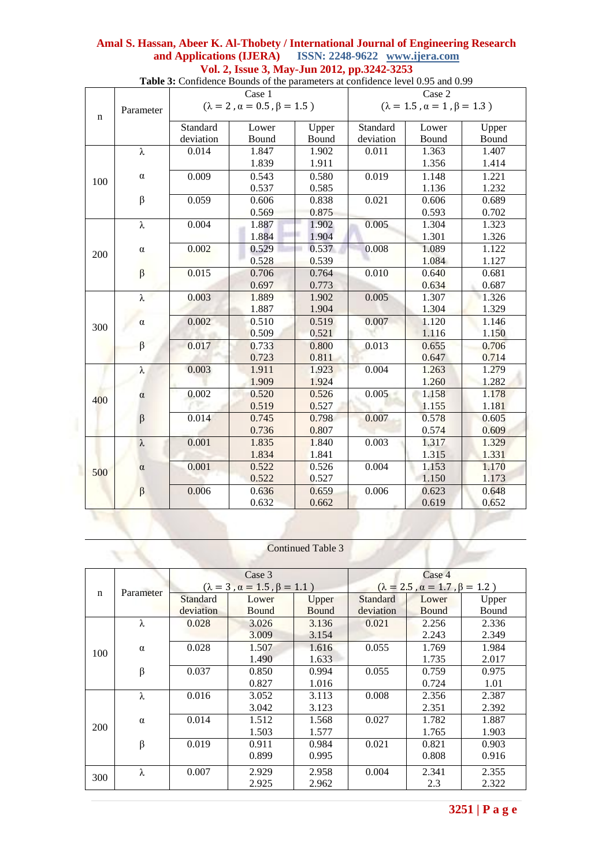|     |           |           | Case 1                                     |       |           | Case 2                                     |       |
|-----|-----------|-----------|--------------------------------------------|-------|-----------|--------------------------------------------|-------|
| n   | Parameter |           | $(\lambda = 2, \alpha = 0.5, \beta = 1.5)$ |       |           | $(\lambda = 1.5, \alpha = 1, \beta = 1.3)$ |       |
|     |           | Standard  | Lower                                      | Upper | Standard  | Lower                                      | Upper |
|     |           | deviation | Bound                                      | Bound | deviation | Bound                                      | Bound |
|     | $\lambda$ | 0.014     | 1.847                                      | 1.902 | 0.011     | 1.363                                      | 1.407 |
|     |           |           | 1.839                                      | 1.911 |           | 1.356                                      | 1.414 |
|     | $\alpha$  | 0.009     | 0.543                                      | 0.580 | 0.019     | 1.148                                      | 1.221 |
| 100 |           |           | 0.537                                      | 0.585 |           | 1.136                                      | 1.232 |
|     | $\beta$   | 0.059     | 0.606                                      | 0.838 | 0.021     | 0.606                                      | 0.689 |
|     |           |           | 0.569                                      | 0.875 |           | 0.593                                      | 0.702 |
|     | $\lambda$ | 0.004     | 1.887                                      | 1.902 | 0.005     | 1.304                                      | 1.323 |
|     |           |           | 1.884                                      | 1.904 |           | 1.301                                      | 1.326 |
| 200 | $\alpha$  | 0.002     | 0.529                                      | 0.537 | 0.008     | 1.089                                      | 1.122 |
|     |           |           | 0.528                                      | 0.539 |           | 1.084                                      | 1.127 |
|     | $\beta$   | 0.015     | 0.706                                      | 0.764 | 0.010     | 0.640                                      | 0.681 |
|     |           |           | 0.697                                      | 0.773 |           | 0.634                                      | 0.687 |
|     | $\lambda$ | 0.003     | 1.889                                      | 1.902 | 0.005     | 1.307                                      | 1.326 |
|     |           |           | 1.887                                      | 1.904 |           | 1.304                                      | 1.329 |
| 300 | $\alpha$  | 0.002     | 0.510                                      | 0.519 | 0.007     | 1.120                                      | 1.146 |
|     |           |           | 0.509                                      | 0.521 |           | 1.116                                      | 1.150 |
|     | $\beta$   | 0.017     | 0.733                                      | 0.800 | 0.013     | 0.655                                      | 0.706 |
|     |           |           | 0.723                                      | 0.811 |           | 0.647                                      | 0.714 |
|     | λ         | 0.003     | 1.911                                      | 1.923 | 0.004     | 1.263                                      | 1.279 |
|     |           |           | 1.909                                      | 1.924 |           | 1.260                                      | 1.282 |
| 400 | $\alpha$  | 0.002     | 0.520                                      | 0.526 | 0.005     | 1.158                                      | 1.178 |
|     |           |           | 0.519                                      | 0.527 |           | 1.155                                      | 1.181 |
|     | $\beta$   | 0.014     | 0.745                                      | 0.798 | 0.007     | 0.578                                      | 0.605 |
|     |           |           | 0.736                                      | 0.807 |           | 0.574                                      | 0.609 |
|     | $\lambda$ | 0.001     | 1.835                                      | 1.840 | 0.003     | 1.317                                      | 1.329 |
|     |           |           | 1.834                                      | 1.841 |           | 1.315                                      | 1.331 |
| 500 | $\alpha$  | 0.001     | 0.522                                      | 0.526 | 0.004     | 1.153                                      | 1.170 |
|     |           |           | 0.522                                      | 0.527 |           | 1.150                                      | 1.173 |
|     | $\beta$   | 0.006     | 0.636                                      | 0.659 | 0.006     | 0.623                                      | 0.648 |
|     |           |           | 0.632                                      | 0.662 |           | 0.619                                      | 0.652 |

**Table 3:** Confidence Bounds of the parameters at confidence level 0.95 and 0.99

Continued Table 3

|                |          |                                            | Case 3 |              |                                              | Case 4 |       |
|----------------|----------|--------------------------------------------|--------|--------------|----------------------------------------------|--------|-------|
| Parameter<br>n |          | $(\lambda = 3, \alpha = 1.5, \beta = 1.1)$ |        |              | $(\lambda = 2.5, \alpha = 1.7, \beta = 1.2)$ |        |       |
|                |          | Standard                                   | Lower  | Upper        | <b>Standard</b>                              | Lower  | Upper |
|                |          | deviation                                  | Bound  | <b>Bound</b> | deviation                                    | Bound  | Bound |
|                | λ        | 0.028                                      | 3.026  | 3.136        | 0.021                                        | 2.256  | 2.336 |
|                |          |                                            | 3.009  | 3.154        |                                              | 2.243  | 2.349 |
| 100            | $\alpha$ | 0.028                                      | 1.507  | 1.616        | 0.055                                        | 1.769  | 1.984 |
|                |          |                                            | 1.490  | 1.633        |                                              | 1.735  | 2.017 |
|                | $\beta$  | 0.037                                      | 0.850  | 0.994        | 0.055                                        | 0.759  | 0.975 |
|                |          |                                            | 0.827  | 1.016        |                                              | 0.724  | 1.01  |
|                | λ        | 0.016                                      | 3.052  | 3.113        | 0.008                                        | 2.356  | 2.387 |
|                |          |                                            | 3.042  | 3.123        |                                              | 2.351  | 2.392 |
|                | $\alpha$ | 0.014                                      | 1.512  | 1.568        | 0.027                                        | 1.782  | 1.887 |
| 200            |          |                                            | 1.503  | 1.577        |                                              | 1.765  | 1.903 |
|                | $\beta$  | 0.019                                      | 0.911  | 0.984        | 0.021                                        | 0.821  | 0.903 |
|                |          |                                            | 0.899  | 0.995        |                                              | 0.808  | 0.916 |
|                | λ        | 0.007                                      | 2.929  | 2.958        | 0.004                                        | 2.341  | 2.355 |
| 300            |          |                                            | 2.925  | 2.962        |                                              | 2.3    | 2.322 |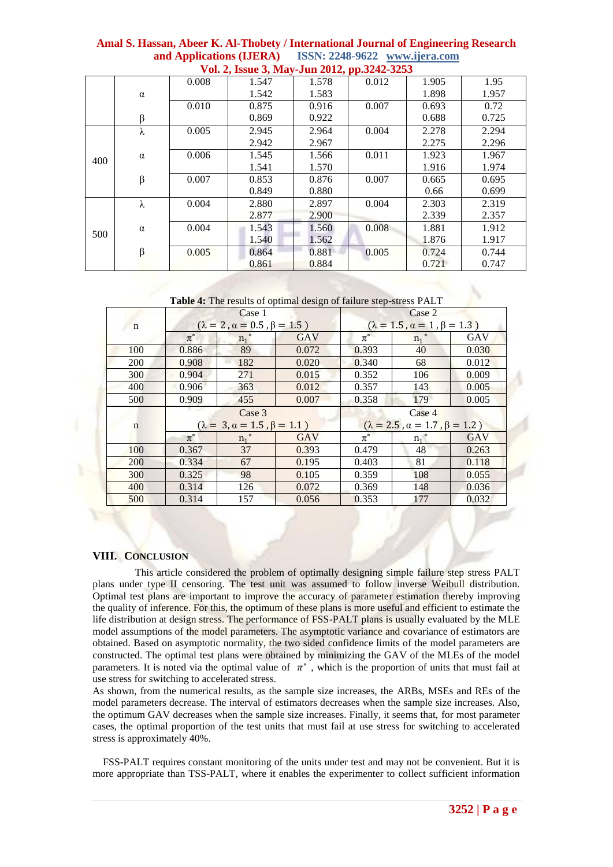|     |          |       | $\frac{1}{2}$ on $\frac{1}{2}$ abbase $\frac{1}{2}$ | $0.444 - 0.44$ |       |       |       |
|-----|----------|-------|-----------------------------------------------------|----------------|-------|-------|-------|
|     |          | 0.008 | 1.547                                               | 1.578          | 0.012 | 1.905 | 1.95  |
|     | $\alpha$ |       | 1.542                                               | 1.583          |       | 1.898 | 1.957 |
|     |          | 0.010 | 0.875                                               | 0.916          | 0.007 | 0.693 | 0.72  |
|     | $\beta$  |       | 0.869                                               | 0.922          |       | 0.688 | 0.725 |
|     | λ        | 0.005 | 2.945                                               | 2.964          | 0.004 | 2.278 | 2.294 |
|     |          |       | 2.942                                               | 2.967          |       | 2.275 | 2.296 |
| 400 | $\alpha$ | 0.006 | 1.545                                               | 1.566          | 0.011 | 1.923 | 1.967 |
|     |          |       | 1.541                                               | 1.570          |       | 1.916 | 1.974 |
|     | $\beta$  | 0.007 | 0.853                                               | 0.876          | 0.007 | 0.665 | 0.695 |
|     |          |       | 0.849                                               | 0.880          |       | 0.66  | 0.699 |
|     | λ        | 0.004 | 2.880                                               | 2.897          | 0.004 | 2.303 | 2.319 |
|     |          |       | 2.877                                               | 2.900          |       | 2.339 | 2.357 |
|     | $\alpha$ | 0.004 | 1.543                                               | 1.560          | 0.008 | 1.881 | 1.912 |
| 500 |          |       | 1.540                                               | 1.562          |       | 1.876 | 1.917 |
|     | β        | 0.005 | 0.864                                               | 0.881          | 0.005 | 0.724 | 0.744 |
|     |          |       | 0.861                                               | 0.884          |       | 0.721 | 0.747 |

**Amal S. Hassan, Abeer K. Al-Thobety / International Journal of Engineering Research and Applications (IJERA) ISSN: 2248-9622 www.ijera.com Vol. 2, Issue 3, May-Jun 2012, pp.3242-3253**

**Table 4:** The results of optimal design of failure step-stress PALT

|             |         | Case 1                                     |            | Case 2  |                                              |            |  |
|-------------|---------|--------------------------------------------|------------|---------|----------------------------------------------|------------|--|
| n           |         | $(\lambda = 2, \alpha = 0.5, \beta = 1.5)$ |            |         | $(\lambda = 1.5, \alpha = 1, \beta = 1.3)$   |            |  |
|             | $\pi^*$ | $n_1$ <sup>*</sup>                         | GAV        | $\pi^*$ | $n_1$ <sup>*</sup>                           | <b>GAV</b> |  |
| 100         | 0.886   | 89                                         | 0.072      | 0.393   | 40                                           | 0.030      |  |
| 200         | 0.908   | 182                                        | 0.020      | 0.340   | 68                                           | 0.012      |  |
| 300         | 0.904   | 271                                        | 0.015      | 0.352   | 106                                          | 0.009      |  |
| 400         | 0.906   | 363                                        | 0.012      | 0.357   | 143                                          | 0.005      |  |
| 500         | 0.909   | 455                                        | 0.007      | 0.358   | 179                                          | 0.005      |  |
|             |         |                                            |            |         |                                              |            |  |
|             |         | Case 3                                     |            |         | Case 4                                       |            |  |
| $\mathbf n$ |         | $(\lambda = 3, \alpha = 1.5, \beta = 1.1)$ |            |         | $(\lambda = 2.5, \alpha = 1.7, \beta = 1.2)$ |            |  |
|             | $\pi^*$ | $n_1$ <sup>*</sup>                         | <b>GAV</b> | $\pi^*$ | $n_1$ <sup>*</sup>                           | <b>GAV</b> |  |
| 100         | 0.367   | 37                                         | 0.393      | 0.479   | 48                                           | 0.263      |  |
| 200         | 0.334   | 67                                         | 0.195      | 0.403   | 81                                           | 0.118      |  |
| 300         | 0.325   | 98                                         | 0.105      | 0.359   | 108                                          | 0.055      |  |
| 400         | 0.314   | 126                                        | 0.072      | 0.369   | 148                                          | 0.036      |  |

#### **VIII. CONCLUSION**

 This article considered the problem of optimally designing simple failure step stress PALT plans under type II censoring. The test unit was assumed to follow inverse Weibull distribution. Optimal test plans are important to improve the accuracy of parameter estimation thereby improving the quality of inference. For this, the optimum of these plans is more useful and efficient to estimate the life distribution at design stress. The performance of FSS-PALT plans is usually evaluated by the MLE model assumptions of the model parameters. The asymptotic variance and covariance of estimators are obtained. Based on asymptotic normality, the two sided confidence limits of the model parameters are constructed. The optimal test plans were obtained by minimizing the GAV of the MLEs of the model parameters. It is noted via the optimal value of  $\pi^*$ , which is the proportion of units that must fail at use stress for switching to accelerated stress.

As shown, from the numerical results, as the sample size increases, the ARBs, MSEs and REs of the model parameters decrease. The interval of estimators decreases when the sample size increases. Also, the optimum GAV decreases when the sample size increases. Finally, it seems that, for most parameter cases, the optimal proportion of the test units that must fail at use stress for switching to accelerated stress is approximately 40%.

 FSS-PALT requires constant monitoring of the units under test and may not be convenient. But it is more appropriate than TSS-PALT, where it enables the experimenter to collect sufficient information